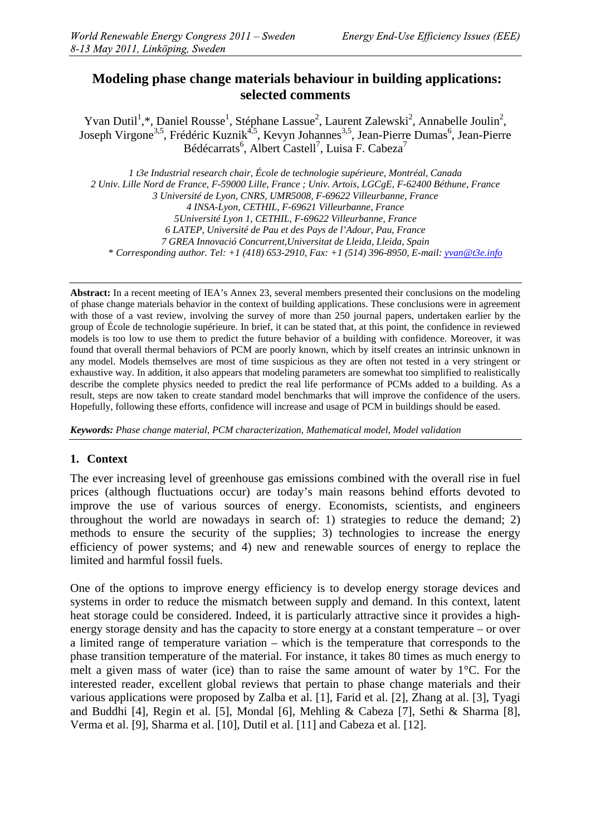# **Modeling phase change materials behaviour in building applications: selected comments**

Yvan Dutil<sup>1</sup>,\*, Daniel Rousse<sup>1</sup>, Stéphane Lassue<sup>2</sup>, Laurent Zalewski<sup>2</sup>, Annabelle Joulin<sup>2</sup>, Joseph Virgone<sup>3,5</sup>, Frédéric Kuznik<sup>4,5</sup>, Kevyn Johannes<sup>3,5</sup>, Jean-Pierre Dumas<sup>6</sup>, Jean-Pierre Bédécarrats<sup>6</sup>, Albert Castell<sup>7</sup>, Luisa F. Cabeza<sup>7</sup>

*1 t3e Industrial research chair, École de technologie supérieure, Montréal, Canada 2 Univ. Lille Nord de France, F-59000 Lille, France ; Univ. Artois, LGCgE, F-62400 Béthune, France 3 Université de Lyon, CNRS, UMR5008, F-69622 Villeurbanne, France 4 INSA-Lyon, CETHIL, F-69621 Villeurbanne, France 5Université Lyon 1, CETHIL, F-69622 Villeurbanne, France 6 LATEP, Université de Pau et des Pays de l'Adour, Pau, France 7 GREA Innovació Concurrent,Universitat de Lleida, Lleida, Spain*  \* *Corresponding author. Tel: +1 (418) 653-2910, Fax: +1 (514) 396-8950, E-mail: yvan@t3e.info*

Abstract: In a recent meeting of IEA's Annex 23, several members presented their conclusions on the modeling of phase change materials behavior in the context of building applications. These conclusions were in agreement with those of a vast review, involving the survey of more than 250 journal papers, undertaken earlier by the group of École de technologie supérieure. In brief, it can be stated that, at this point, the confidence in reviewed models is too low to use them to predict the future behavior of a building with confidence. Moreover, it was found that overall thermal behaviors of PCM are poorly known, which by itself creates an intrinsic unknown in any model. Models themselves are most of time suspicious as they are often not tested in a very stringent or exhaustive way. In addition, it also appears that modeling parameters are somewhat too simplified to realistically describe the complete physics needed to predict the real life performance of PCMs added to a building. As a result, steps are now taken to create standard model benchmarks that will improve the confidence of the users. Hopefully, following these efforts, confidence will increase and usage of PCM in buildings should be eased.

*Keywords: Phase change material, PCM characterization, Mathematical model, Model validation* 

#### **1. Context**

The ever increasing level of greenhouse gas emissions combined with the overall rise in fuel prices (although fluctuations occur) are today's main reasons behind efforts devoted to improve the use of various sources of energy. Economists, scientists, and engineers throughout the world are nowadays in search of: 1) strategies to reduce the demand; 2) methods to ensure the security of the supplies; 3) technologies to increase the energy efficiency of power systems; and 4) new and renewable sources of energy to replace the limited and harmful fossil fuels.

One of the options to improve energy efficiency is to develop energy storage devices and systems in order to reduce the mismatch between supply and demand. In this context, latent heat storage could be considered. Indeed, it is particularly attractive since it provides a highenergy storage density and has the capacity to store energy at a constant temperature – or over a limited range of temperature variation – which is the temperature that corresponds to the phase transition temperature of the material. For instance, it takes 80 times as much energy to melt a given mass of water (ice) than to raise the same amount of water by 1°C. For the interested reader, excellent global reviews that pertain to phase change materials and their various applications were proposed by Zalba et al. [1], Farid et al. [2], Zhang at al. [3], Tyagi and Buddhi [4], Regin et al. [5], Mondal [6], Mehling & Cabeza [7], Sethi & Sharma [8], Verma et al. [9], Sharma et al. [10], Dutil et al. [11] and Cabeza et al. [12].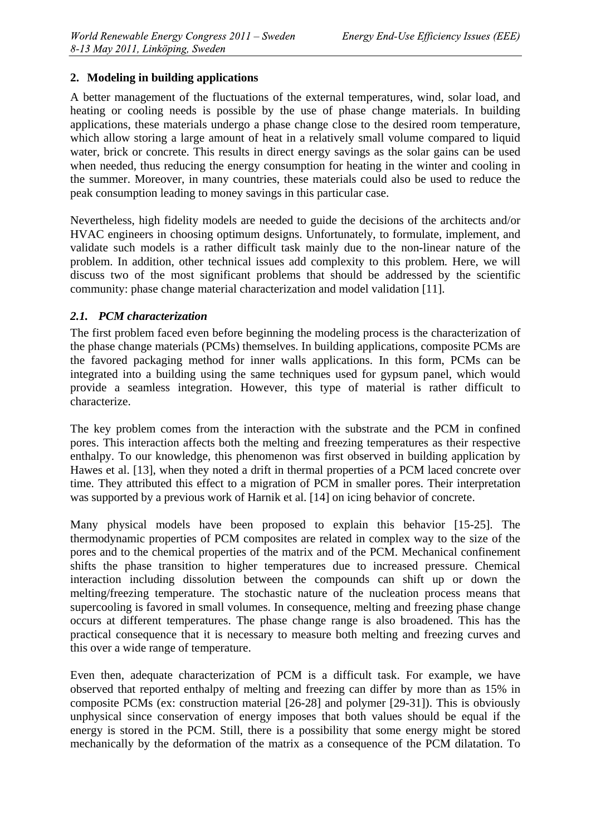## **2. Modeling in building applications**

A better management of the fluctuations of the external temperatures, wind, solar load, and heating or cooling needs is possible by the use of phase change materials. In building applications, these materials undergo a phase change close to the desired room temperature, which allow storing a large amount of heat in a relatively small volume compared to liquid water, brick or concrete. This results in direct energy savings as the solar gains can be used when needed, thus reducing the energy consumption for heating in the winter and cooling in the summer. Moreover, in many countries, these materials could also be used to reduce the peak consumption leading to money savings in this particular case.

Nevertheless, high fidelity models are needed to guide the decisions of the architects and/or HVAC engineers in choosing optimum designs. Unfortunately, to formulate, implement, and validate such models is a rather difficult task mainly due to the non-linear nature of the problem. In addition, other technical issues add complexity to this problem*.* Here, we will discuss two of the most significant problems that should be addressed by the scientific community: phase change material characterization and model validation [11].

### *2.1. PCM characterization*

The first problem faced even before beginning the modeling process is the characterization of the phase change materials (PCMs) themselves. In building applications, composite PCMs are the favored packaging method for inner walls applications. In this form, PCMs can be integrated into a building using the same techniques used for gypsum panel, which would provide a seamless integration. However, this type of material is rather difficult to characterize.

The key problem comes from the interaction with the substrate and the PCM in confined pores. This interaction affects both the melting and freezing temperatures as their respective enthalpy. To our knowledge, this phenomenon was first observed in building application by Hawes et al. [13], when they noted a drift in thermal properties of a PCM laced concrete over time. They attributed this effect to a migration of PCM in smaller pores. Their interpretation was supported by a previous work of Harnik et al. [14] on icing behavior of concrete.

Many physical models have been proposed to explain this behavior [15-25]. The thermodynamic properties of PCM composites are related in complex way to the size of the pores and to the chemical properties of the matrix and of the PCM. Mechanical confinement shifts the phase transition to higher temperatures due to increased pressure. Chemical interaction including dissolution between the compounds can shift up or down the melting/freezing temperature. The stochastic nature of the nucleation process means that supercooling is favored in small volumes. In consequence, melting and freezing phase change occurs at different temperatures. The phase change range is also broadened. This has the practical consequence that it is necessary to measure both melting and freezing curves and this over a wide range of temperature.

Even then, adequate characterization of PCM is a difficult task. For example, we have observed that reported enthalpy of melting and freezing can differ by more than as 15% in composite PCMs (ex: construction material [26-28] and polymer [29-31]). This is obviously unphysical since conservation of energy imposes that both values should be equal if the energy is stored in the PCM. Still, there is a possibility that some energy might be stored mechanically by the deformation of the matrix as a consequence of the PCM dilatation. To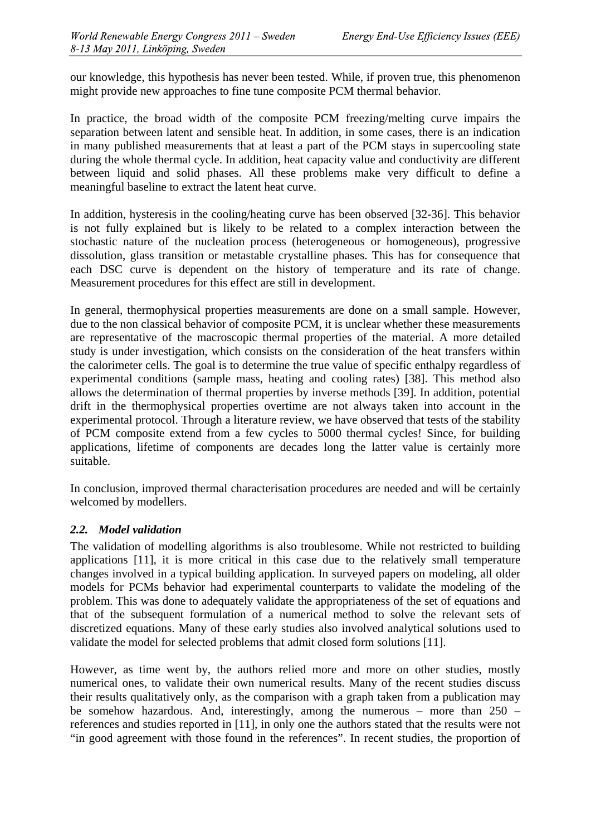our knowledge, this hypothesis has never been tested. While, if proven true, this phenomenon might provide new approaches to fine tune composite PCM thermal behavior.

In practice, the broad width of the composite PCM freezing/melting curve impairs the separation between latent and sensible heat. In addition, in some cases, there is an indication in many published measurements that at least a part of the PCM stays in supercooling state during the whole thermal cycle. In addition, heat capacity value and conductivity are different between liquid and solid phases. All these problems make very difficult to define a meaningful baseline to extract the latent heat curve.

In addition, hysteresis in the cooling/heating curve has been observed [32-36]. This behavior is not fully explained but is likely to be related to a complex interaction between the stochastic nature of the nucleation process (heterogeneous or homogeneous), progressive dissolution, glass transition or metastable crystalline phases. This has for consequence that each DSC curve is dependent on the history of temperature and its rate of change. Measurement procedures for this effect are still in development.

In general, thermophysical properties measurements are done on a small sample. However, due to the non classical behavior of composite PCM, it is unclear whether these measurements are representative of the macroscopic thermal properties of the material. A more detailed study is under investigation, which consists on the consideration of the heat transfers within the calorimeter cells. The goal is to determine the true value of specific enthalpy regardless of experimental conditions (sample mass, heating and cooling rates) [38]. This method also allows the determination of thermal properties by inverse methods [39]. In addition, potential drift in the thermophysical properties overtime are not always taken into account in the experimental protocol. Through a literature review, we have observed that tests of the stability of PCM composite extend from a few cycles to 5000 thermal cycles! Since, for building applications, lifetime of components are decades long the latter value is certainly more suitable.

In conclusion, improved thermal characterisation procedures are needed and will be certainly welcomed by modellers.

### *2.2. Model validation*

The validation of modelling algorithms is also troublesome. While not restricted to building applications [11], it is more critical in this case due to the relatively small temperature changes involved in a typical building application. In surveyed papers on modeling, all older models for PCMs behavior had experimental counterparts to validate the modeling of the problem. This was done to adequately validate the appropriateness of the set of equations and that of the subsequent formulation of a numerical method to solve the relevant sets of discretized equations. Many of these early studies also involved analytical solutions used to validate the model for selected problems that admit closed form solutions [11].

However, as time went by, the authors relied more and more on other studies, mostly numerical ones, to validate their own numerical results. Many of the recent studies discuss their results qualitatively only, as the comparison with a graph taken from a publication may be somehow hazardous. And, interestingly, among the numerous – more than 250 – references and studies reported in [11], in only one the authors stated that the results were not "in good agreement with those found in the references". In recent studies, the proportion of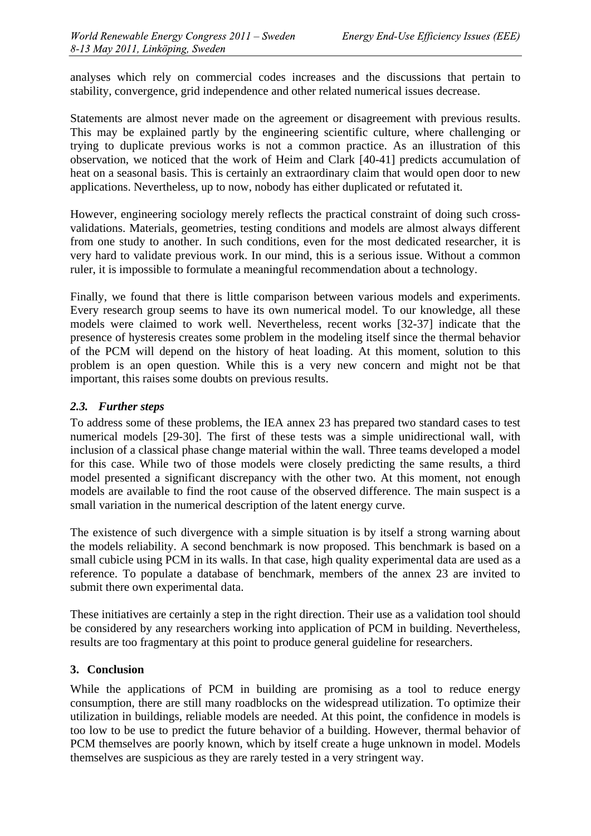analyses which rely on commercial codes increases and the discussions that pertain to stability, convergence, grid independence and other related numerical issues decrease.

Statements are almost never made on the agreement or disagreement with previous results. This may be explained partly by the engineering scientific culture, where challenging or trying to duplicate previous works is not a common practice. As an illustration of this observation, we noticed that the work of Heim and Clark [40-41] predicts accumulation of heat on a seasonal basis. This is certainly an extraordinary claim that would open door to new applications. Nevertheless, up to now, nobody has either duplicated or refutated it.

However, engineering sociology merely reflects the practical constraint of doing such crossvalidations. Materials, geometries, testing conditions and models are almost always different from one study to another. In such conditions, even for the most dedicated researcher, it is very hard to validate previous work. In our mind, this is a serious issue. Without a common ruler, it is impossible to formulate a meaningful recommendation about a technology.

Finally, we found that there is little comparison between various models and experiments. Every research group seems to have its own numerical model. To our knowledge, all these models were claimed to work well. Nevertheless, recent works [32-37] indicate that the presence of hysteresis creates some problem in the modeling itself since the thermal behavior of the PCM will depend on the history of heat loading. At this moment, solution to this problem is an open question. While this is a very new concern and might not be that important, this raises some doubts on previous results.

### *2.3. Further steps*

To address some of these problems, the IEA annex 23 has prepared two standard cases to test numerical models [29-30]. The first of these tests was a simple unidirectional wall, with inclusion of a classical phase change material within the wall. Three teams developed a model for this case. While two of those models were closely predicting the same results, a third model presented a significant discrepancy with the other two. At this moment, not enough models are available to find the root cause of the observed difference. The main suspect is a small variation in the numerical description of the latent energy curve.

The existence of such divergence with a simple situation is by itself a strong warning about the models reliability. A second benchmark is now proposed. This benchmark is based on a small cubicle using PCM in its walls. In that case, high quality experimental data are used as a reference. To populate a database of benchmark, members of the annex 23 are invited to submit there own experimental data.

These initiatives are certainly a step in the right direction. Their use as a validation tool should be considered by any researchers working into application of PCM in building. Nevertheless, results are too fragmentary at this point to produce general guideline for researchers.

### **3. Conclusion**

While the applications of PCM in building are promising as a tool to reduce energy consumption, there are still many roadblocks on the widespread utilization. To optimize their utilization in buildings, reliable models are needed. At this point, the confidence in models is too low to be use to predict the future behavior of a building. However, thermal behavior of PCM themselves are poorly known, which by itself create a huge unknown in model. Models themselves are suspicious as they are rarely tested in a very stringent way.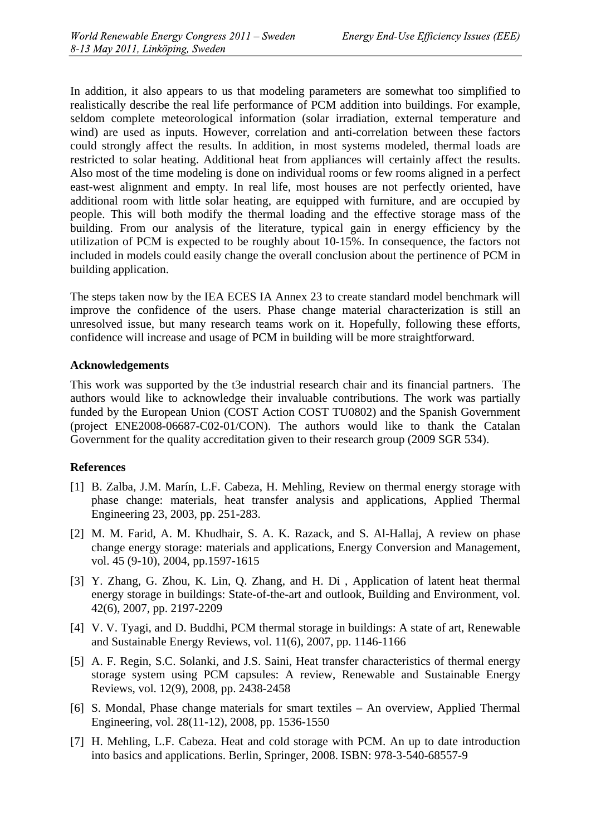In addition, it also appears to us that modeling parameters are somewhat too simplified to realistically describe the real life performance of PCM addition into buildings. For example, seldom complete meteorological information (solar irradiation, external temperature and wind) are used as inputs. However, correlation and anti-correlation between these factors could strongly affect the results. In addition, in most systems modeled, thermal loads are restricted to solar heating. Additional heat from appliances will certainly affect the results. Also most of the time modeling is done on individual rooms or few rooms aligned in a perfect east-west alignment and empty. In real life, most houses are not perfectly oriented, have additional room with little solar heating, are equipped with furniture, and are occupied by people. This will both modify the thermal loading and the effective storage mass of the building. From our analysis of the literature, typical gain in energy efficiency by the utilization of PCM is expected to be roughly about 10-15%. In consequence, the factors not included in models could easily change the overall conclusion about the pertinence of PCM in building application.

The steps taken now by the IEA ECES IA Annex 23 to create standard model benchmark will improve the confidence of the users. Phase change material characterization is still an unresolved issue, but many research teams work on it. Hopefully, following these efforts, confidence will increase and usage of PCM in building will be more straightforward.

#### **Acknowledgements**

This work was supported by the t3e industrial research chair and its financial partners. The authors would like to acknowledge their invaluable contributions. The work was partially funded by the European Union (COST Action COST TU0802) and the Spanish Government (project ENE2008-06687-C02-01/CON). The authors would like to thank the Catalan Government for the quality accreditation given to their research group (2009 SGR 534).

#### **References**

- [1] B. Zalba, J.M. Marín, L.F. Cabeza, H. Mehling, Review on thermal energy storage with phase change: materials, heat transfer analysis and applications, Applied Thermal Engineering 23, 2003, pp. 251-283.
- [2] M. M. Farid, A. M. Khudhair, S. A. K. Razack, and S. Al-Hallaj, A review on phase change energy storage: materials and applications, Energy Conversion and Management, vol. 45 (9-10), 2004, pp.1597-1615
- [3] Y. Zhang, G. Zhou, K. Lin, Q. Zhang, and H. Di , Application of latent heat thermal energy storage in buildings: State-of-the-art and outlook, Building and Environment, vol. 42(6), 2007, pp. 2197-2209
- [4] V. V. Tyagi, and D. Buddhi, PCM thermal storage in buildings: A state of art, Renewable and Sustainable Energy Reviews, vol. 11(6), 2007, pp. 1146-1166
- [5] A. F. Regin, S.C. Solanki, and J.S. Saini, Heat transfer characteristics of thermal energy storage system using PCM capsules: A review, Renewable and Sustainable Energy Reviews, vol. 12(9), 2008, pp. 2438-2458
- [6] S. Mondal, Phase change materials for smart textiles An overview, Applied Thermal Engineering, vol. 28(11-12), 2008, pp. 1536-1550
- [7] H. Mehling, L.F. Cabeza. Heat and cold storage with PCM. An up to date introduction into basics and applications. Berlin, Springer, 2008. ISBN: 978-3-540-68557-9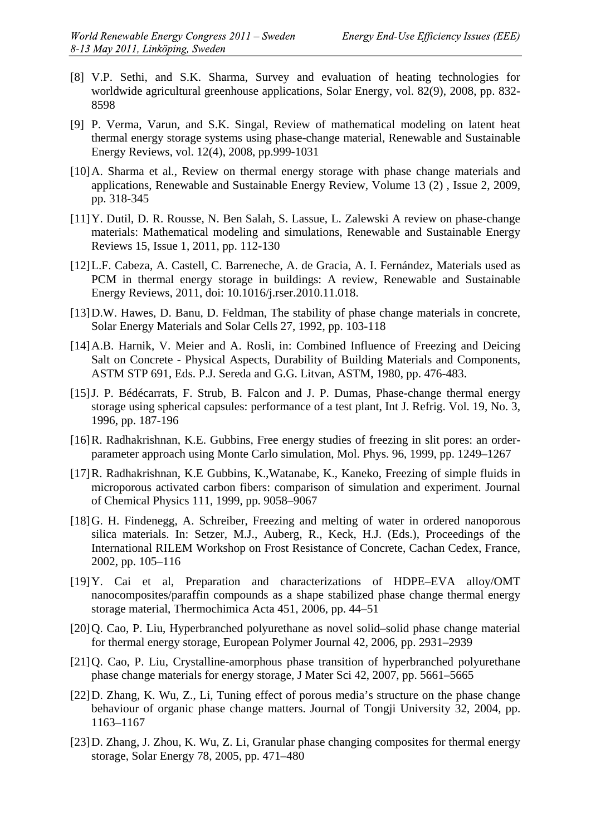- [8] V.P. Sethi, and S.K. Sharma, Survey and evaluation of heating technologies for worldwide agricultural greenhouse applications, Solar Energy, vol. 82(9), 2008, pp. 832- 8598
- [9] P. Verma, Varun, and S.K. Singal, Review of mathematical modeling on latent heat thermal energy storage systems using phase-change material, Renewable and Sustainable Energy Reviews, vol. 12(4), 2008, pp.999-1031
- [10] A. Sharma et al., Review on thermal energy storage with phase change materials and applications, Renewable and Sustainable Energy Review, Volume 13 (2) , Issue 2, 2009, pp. 318-345
- [11]Y. Dutil, D. R. Rousse, N. Ben Salah, S. Lassue, L. Zalewski A review on phase-change materials: Mathematical modeling and simulations, Renewable and Sustainable Energy Reviews 15, Issue 1, 2011, pp. 112-130
- [12]L.F. Cabeza, A. Castell, C. Barreneche, A. de Gracia, A. I. Fernández, Materials used as PCM in thermal energy storage in buildings: A review, Renewable and Sustainable Energy Reviews, 2011, doi: 10.1016/j.rser.2010.11.018.
- [13]D.W. Hawes, D. Banu, D. Feldman, The stability of phase change materials in concrete, Solar Energy Materials and Solar Cells 27, 1992, pp. 103-118
- [14] A.B. Harnik, V. Meier and A. Rosli, in: Combined Influence of Freezing and Deicing Salt on Concrete - Physical Aspects, Durability of Building Materials and Components, ASTM STP 691, Eds. P.J. Sereda and G.G. Litvan, ASTM, 1980, pp. 476-483.
- [15] J. P. Bédécarrats, F. Strub, B. Falcon and J. P. Dumas, Phase-change thermal energy storage using spherical capsules: performance of a test plant, Int J. Refrig. Vol. 19, No. 3, 1996, pp. 187-196
- [16]R. Radhakrishnan, K.E. Gubbins, Free energy studies of freezing in slit pores: an orderparameter approach using Monte Carlo simulation, Mol. Phys. 96, 1999, pp. 1249–1267
- [17] R. Radhakrishnan, K.E Gubbins, K., Watanabe, K., Kaneko, Freezing of simple fluids in microporous activated carbon fibers: comparison of simulation and experiment. Journal of Chemical Physics 111, 1999, pp. 9058–9067
- [18]G. H. Findenegg, A. Schreiber, Freezing and melting of water in ordered nanoporous silica materials. In: Setzer, M.J., Auberg, R., Keck, H.J. (Eds.), Proceedings of the International RILEM Workshop on Frost Resistance of Concrete, Cachan Cedex, France, 2002, pp. 105–116
- [19]Y. Cai et al, Preparation and characterizations of HDPE–EVA alloy/OMT nanocomposites/paraffin compounds as a shape stabilized phase change thermal energy storage material, Thermochimica Acta 451, 2006, pp. 44–51
- [20]Q. Cao, P. Liu, Hyperbranched polyurethane as novel solid–solid phase change material for thermal energy storage, European Polymer Journal 42, 2006, pp. 2931–2939
- [21]Q. Cao, P. Liu, Crystalline-amorphous phase transition of hyperbranched polyurethane phase change materials for energy storage, J Mater Sci 42, 2007, pp. 5661–5665
- [22]D. Zhang, K. Wu, Z., Li, Tuning effect of porous media's structure on the phase change behaviour of organic phase change matters. Journal of Tongji University 32, 2004, pp. 1163–1167
- [23]D. Zhang, J. Zhou, K. Wu, Z. Li, Granular phase changing composites for thermal energy storage, Solar Energy 78, 2005, pp. 471–480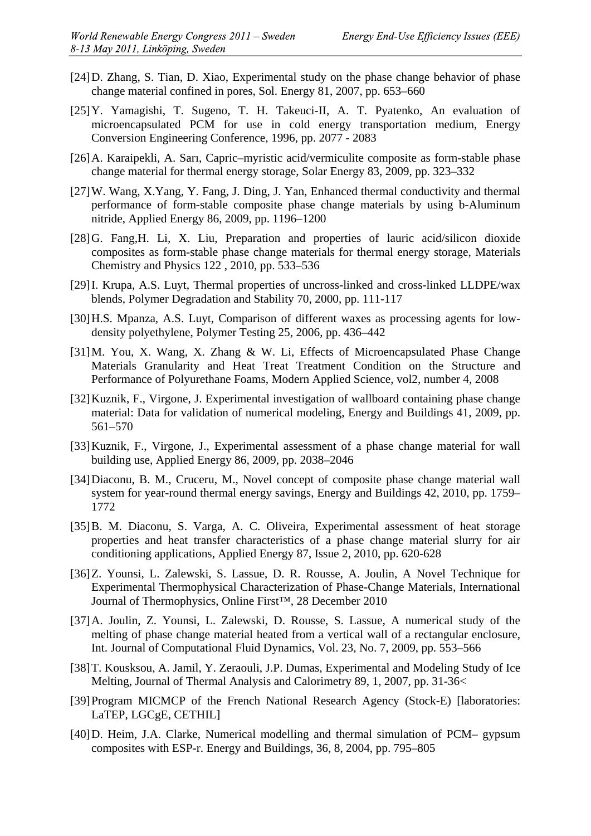- [24]D. Zhang, S. Tian, D. Xiao, Experimental study on the phase change behavior of phase change material confined in pores, Sol. Energy 81, 2007, pp. 653–660
- [25]Y. Yamagishi, T. Sugeno, T. H. Takeuci-II, A. T. Pyatenko, An evaluation of microencapsulated PCM for use in cold energy transportation medium, Energy Conversion Engineering Conference, 1996, pp. 2077 - 2083
- [26]A. Karaipekli, A. Sarı, Capric–myristic acid/vermiculite composite as form-stable phase change material for thermal energy storage, Solar Energy 83, 2009, pp. 323–332
- [27]W. Wang, X.Yang, Y. Fang, J. Ding, J. Yan, Enhanced thermal conductivity and thermal performance of form-stable composite phase change materials by using b-Aluminum nitride, Applied Energy 86, 2009, pp. 1196–1200
- [28]G. Fang,H. Li, X. Liu, Preparation and properties of lauric acid/silicon dioxide composites as form-stable phase change materials for thermal energy storage, Materials Chemistry and Physics 122 , 2010, pp. 533–536
- [29]I. Krupa, A.S. Luyt, Thermal properties of uncross-linked and cross-linked LLDPE/wax blends, Polymer Degradation and Stability 70, 2000, pp. 111-117
- [30]H.S. Mpanza, A.S. Luyt, Comparison of different waxes as processing agents for lowdensity polyethylene, Polymer Testing 25, 2006, pp. 436–442
- [31]M. You, X. Wang, X. Zhang & W. Li, Effects of Microencapsulated Phase Change Materials Granularity and Heat Treat Treatment Condition on the Structure and Performance of Polyurethane Foams, Modern Applied Science, vol2, number 4, 2008
- [32]Kuznik, F., Virgone, J. Experimental investigation of wallboard containing phase change material: Data for validation of numerical modeling, Energy and Buildings 41, 2009, pp. 561–570
- [33]Kuznik, F., Virgone, J., Experimental assessment of a phase change material for wall building use, Applied Energy 86, 2009, pp. 2038–2046
- [34]Diaconu, B. M., Cruceru, M., Novel concept of composite phase change material wall system for year-round thermal energy savings, Energy and Buildings 42, 2010, pp. 1759– 1772
- [35]B. M. Diaconu, S. Varga, A. C. Oliveira, Experimental assessment of heat storage properties and heat transfer characteristics of a phase change material slurry for air conditioning applications, Applied Energy 87, Issue 2, 2010, pp. 620-628
- [36]Z. Younsi, L. Zalewski, S. Lassue, D. R. Rousse, A. Joulin, A Novel Technique for Experimental Thermophysical Characterization of Phase-Change Materials, International Journal of Thermophysics, Online First™, 28 December 2010
- [37]A. Joulin, Z. Younsi, L. Zalewski, D. Rousse, S. Lassue, A numerical study of the melting of phase change material heated from a vertical wall of a rectangular enclosure, Int. Journal of Computational Fluid Dynamics, Vol. 23, No. 7, 2009, pp. 553–566
- [38]T. Kousksou, A. Jamil, Y. Zeraouli, J.P. Dumas, Experimental and Modeling Study of Ice Melting, Journal of Thermal Analysis and Calorimetry 89, 1, 2007, pp. 31-36<
- [39]Program MICMCP of the French National Research Agency (Stock-E) [laboratories: LaTEP, LGCgE, CETHIL]
- [40]D. Heim, J.A. Clarke, Numerical modelling and thermal simulation of PCM– gypsum composites with ESP-r. Energy and Buildings, 36, 8, 2004, pp. 795–805